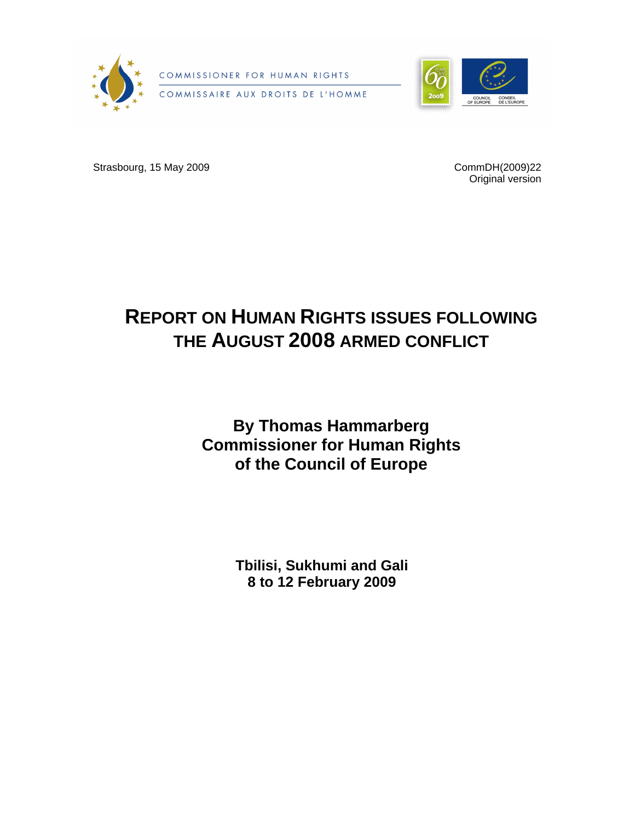

COMMISSIONER FOR HUMAN RIGHTS COMMISSAIRE AUX DROITS DE L'HOMME



Strasbourg, 15 May 2009 CommDH(2009)22

Original version

# **REPORT ON HUMAN RIGHTS ISSUES FOLLOWING THE AUGUST 2008 ARMED CONFLICT**

**By Thomas Hammarberg Commissioner for Human Rights of the Council of Europe**

> **Tbilisi, Sukhumi and Gali 8 to 12 February 2009**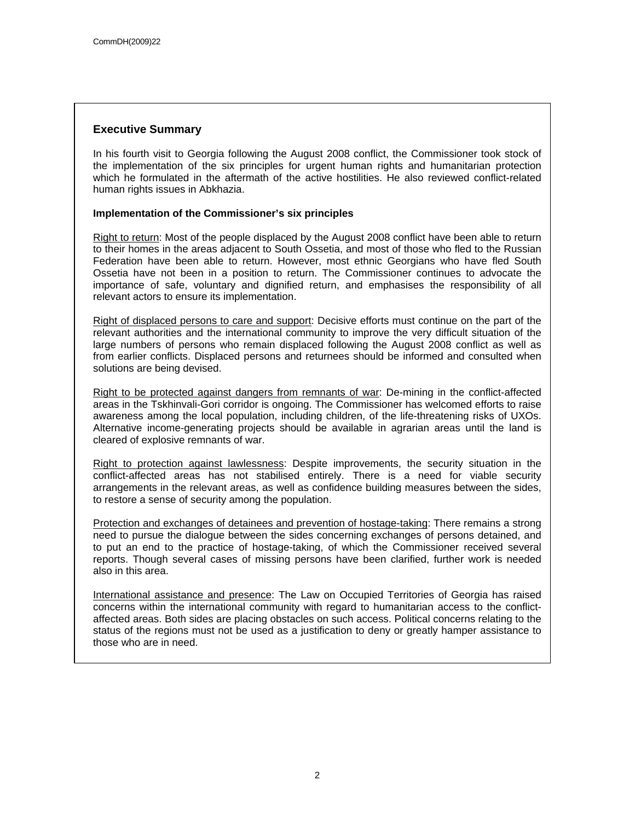## **Executive Summary**

In his fourth visit to Georgia following the August 2008 conflict, the Commissioner took stock of the implementation of the six principles for urgent human rights and humanitarian protection which he formulated in the aftermath of the active hostilities. He also reviewed conflict-related human rights issues in Abkhazia.

## **Implementation of the Commissioner's six principles**

Right to return: Most of the people displaced by the August 2008 conflict have been able to return to their homes in the areas adjacent to South Ossetia, and most of those who fled to the Russian Federation have been able to return. However, most ethnic Georgians who have fled South Ossetia have not been in a position to return. The Commissioner continues to advocate the importance of safe, voluntary and dignified return, and emphasises the responsibility of all relevant actors to ensure its implementation.

Right of displaced persons to care and support: Decisive efforts must continue on the part of the relevant authorities and the international community to improve the very difficult situation of the large numbers of persons who remain displaced following the August 2008 conflict as well as from earlier conflicts. Displaced persons and returnees should be informed and consulted when solutions are being devised.

Right to be protected against dangers from remnants of war: De-mining in the conflict-affected areas in the Tskhinvali-Gori corridor is ongoing. The Commissioner has welcomed efforts to raise awareness among the local population, including children, of the life-threatening risks of UXOs. Alternative income-generating projects should be available in agrarian areas until the land is cleared of explosive remnants of war.

Right to protection against lawlessness: Despite improvements, the security situation in the conflict-affected areas has not stabilised entirely. There is a need for viable security arrangements in the relevant areas, as well as confidence building measures between the sides, to restore a sense of security among the population.

Protection and exchanges of detainees and prevention of hostage-taking: There remains a strong need to pursue the dialogue between the sides concerning exchanges of persons detained, and to put an end to the practice of hostage-taking, of which the Commissioner received several reports. Though several cases of missing persons have been clarified, further work is needed also in this area.

International assistance and presence: The Law on Occupied Territories of Georgia has raised concerns within the international community with regard to humanitarian access to the conflictaffected areas. Both sides are placing obstacles on such access. Political concerns relating to the status of the regions must not be used as a justification to deny or greatly hamper assistance to those who are in need.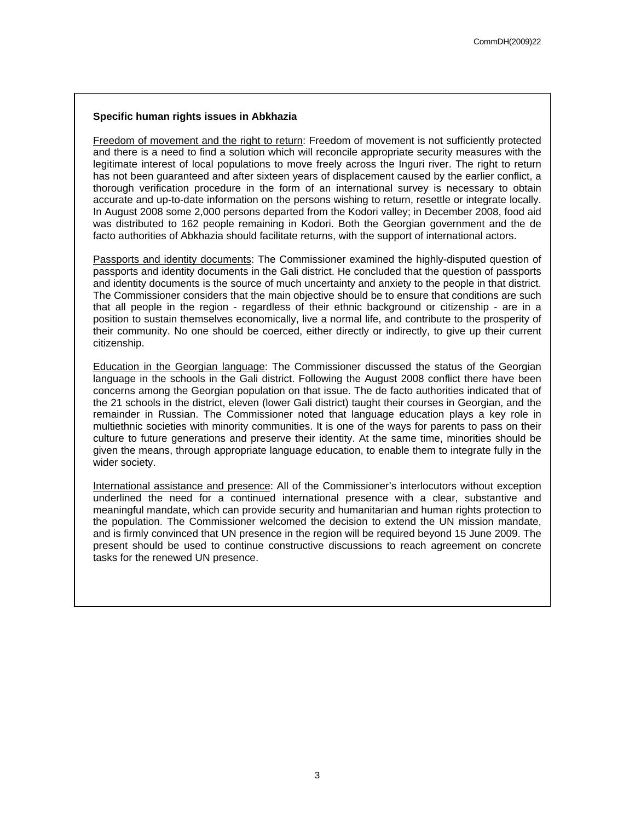## **Specific human rights issues in Abkhazia**

Freedom of movement and the right to return: Freedom of movement is not sufficiently protected and there is a need to find a solution which will reconcile appropriate security measures with the legitimate interest of local populations to move freely across the Inguri river. The right to return has not been guaranteed and after sixteen years of displacement caused by the earlier conflict, a thorough verification procedure in the form of an international survey is necessary to obtain accurate and up-to-date information on the persons wishing to return, resettle or integrate locally. In August 2008 some 2,000 persons departed from the Kodori valley; in December 2008, food aid was distributed to 162 people remaining in Kodori. Both the Georgian government and the de facto authorities of Abkhazia should facilitate returns, with the support of international actors.

Passports and identity documents: The Commissioner examined the highly-disputed question of passports and identity documents in the Gali district. He concluded that the question of passports and identity documents is the source of much uncertainty and anxiety to the people in that district. The Commissioner considers that the main objective should be to ensure that conditions are such that all people in the region - regardless of their ethnic background or citizenship - are in a position to sustain themselves economically, live a normal life, and contribute to the prosperity of their community. No one should be coerced, either directly or indirectly, to give up their current citizenship.

Education in the Georgian language: The Commissioner discussed the status of the Georgian language in the schools in the Gali district. Following the August 2008 conflict there have been concerns among the Georgian population on that issue. The de facto authorities indicated that of the 21 schools in the district, eleven (lower Gali district) taught their courses in Georgian, and the remainder in Russian. The Commissioner noted that language education plays a key role in multiethnic societies with minority communities. It is one of the ways for parents to pass on their culture to future generations and preserve their identity. At the same time, minorities should be given the means, through appropriate language education, to enable them to integrate fully in the wider society.

International assistance and presence: All of the Commissioner's interlocutors without exception underlined the need for a continued international presence with a clear, substantive and meaningful mandate, which can provide security and humanitarian and human rights protection to the population. The Commissioner welcomed the decision to extend the UN mission mandate, and is firmly convinced that UN presence in the region will be required beyond 15 June 2009. The present should be used to continue constructive discussions to reach agreement on concrete tasks for the renewed UN presence.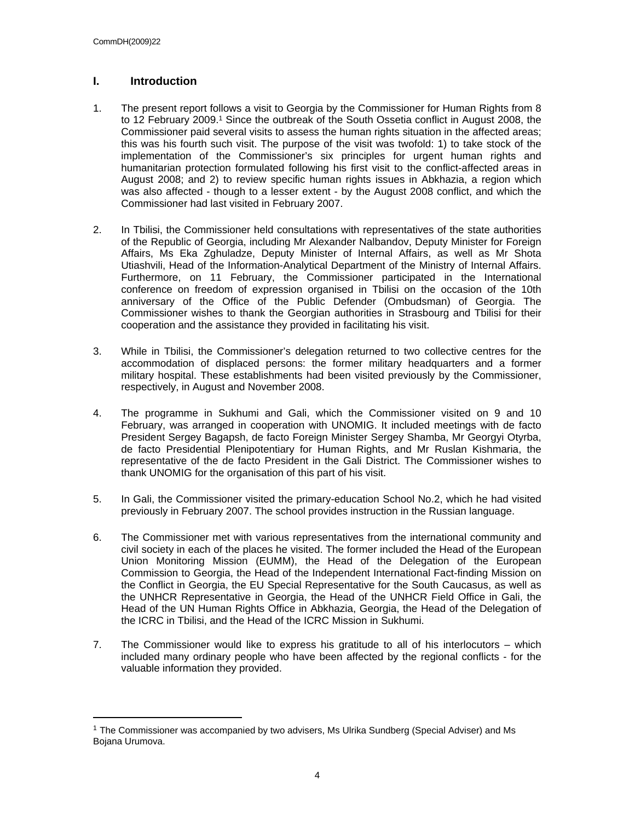## **I. Introduction**

- 1. The present report follows a visit to Georgia by the Commissioner for Human Rights from 8 to 12 February 2009.<sup>1</sup> Since the outbreak of the South Ossetia conflict in August 2008, the Commissioner paid several visits to assess the human rights situation in the affected areas; this was his fourth such visit. The purpose of the visit was twofold: 1) to take stock of the implementation of the Commissioner's six principles for urgent human rights and humanitarian protection formulated following his first visit to the conflict-affected areas in August 2008; and 2) to review specific human rights issues in Abkhazia, a region which was also affected - though to a lesser extent - by the August 2008 conflict, and which the Commissioner had last visited in February 2007.
- 2. In Tbilisi, the Commissioner held consultations with representatives of the state authorities of the Republic of Georgia, including Mr Alexander Nalbandov, Deputy Minister for Foreign Affairs, Ms Eka Zghuladze, Deputy Minister of Internal Affairs, as well as Mr Shota Utiashvili, Head of the Information-Analytical Department of the Ministry of Internal Affairs. Furthermore, on 11 February, the Commissioner participated in the International conference on freedom of expression organised in Tbilisi on the occasion of the 10th anniversary of the Office of the Public Defender (Ombudsman) of Georgia. The Commissioner wishes to thank the Georgian authorities in Strasbourg and Tbilisi for their cooperation and the assistance they provided in facilitating his visit.
- 3. While in Tbilisi, the Commissioner's delegation returned to two collective centres for the accommodation of displaced persons: the former military headquarters and a former military hospital. These establishments had been visited previously by the Commissioner, respectively, in August and November 2008.
- 4. The programme in Sukhumi and Gali, which the Commissioner visited on 9 and 10 February, was arranged in cooperation with UNOMIG. It included meetings with de facto President Sergey Bagapsh, de facto Foreign Minister Sergey Shamba, Mr Georgyi Otyrba, de facto Presidential Plenipotentiary for Human Rights, and Mr Ruslan Kishmaria, the representative of the de facto President in the Gali District. The Commissioner wishes to thank UNOMIG for the organisation of this part of his visit.
- 5. In Gali, the Commissioner visited the primary-education School No.2, which he had visited previously in February 2007. The school provides instruction in the Russian language.
- 6. The Commissioner met with various representatives from the international community and civil society in each of the places he visited. The former included the Head of the European Union Monitoring Mission (EUMM), the Head of the Delegation of the European Commission to Georgia, the Head of the Independent International Fact-finding Mission on the Conflict in Georgia, the EU Special Representative for the South Caucasus, as well as the UNHCR Representative in Georgia, the Head of the UNHCR Field Office in Gali, the Head of the UN Human Rights Office in Abkhazia, Georgia, the Head of the Delegation of the ICRC in Tbilisi, and the Head of the ICRC Mission in Sukhumi.
- 7. The Commissioner would like to express his gratitude to all of his interlocutors which included many ordinary people who have been affected by the regional conflicts - for the valuable information they provided.

<sup>1</sup> The Commissioner was accompanied by two advisers, Ms Ulrika Sundberg (Special Adviser) and Ms Bojana Urumova.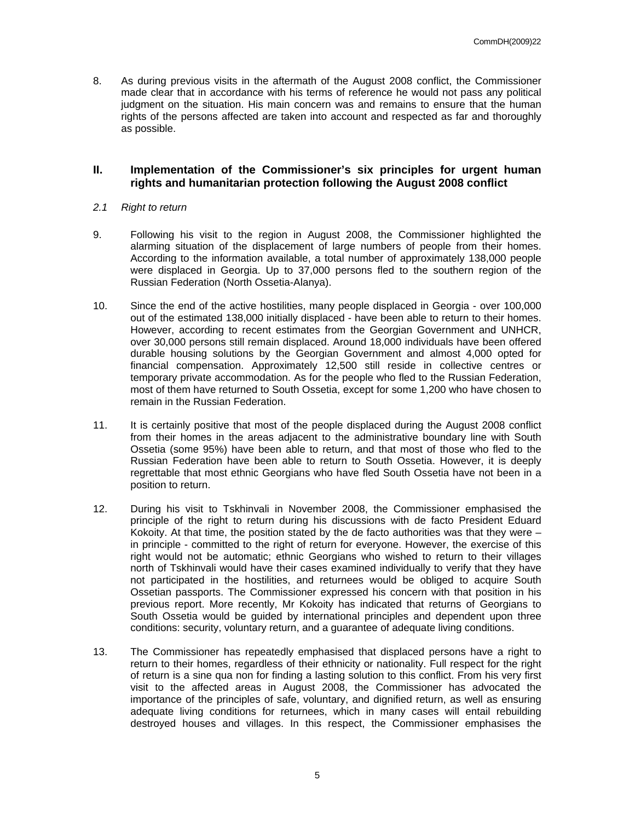8. As during previous visits in the aftermath of the August 2008 conflict, the Commissioner made clear that in accordance with his terms of reference he would not pass any political judgment on the situation. His main concern was and remains to ensure that the human rights of the persons affected are taken into account and respected as far and thoroughly as possible.

## **II. Implementation of the Commissioner's six principles for urgent human rights and humanitarian protection following the August 2008 conflict**

## *2.1 Right to return*

- 9. Following his visit to the region in August 2008, the Commissioner highlighted the alarming situation of the displacement of large numbers of people from their homes. According to the information available, a total number of approximately 138,000 people were displaced in Georgia. Up to 37,000 persons fled to the southern region of the Russian Federation (North Ossetia-Alanya).
- 10. Since the end of the active hostilities, many people displaced in Georgia over 100,000 out of the estimated 138,000 initially displaced - have been able to return to their homes. However, according to recent estimates from the Georgian Government and UNHCR, over 30,000 persons still remain displaced. Around 18,000 individuals have been offered durable housing solutions by the Georgian Government and almost 4,000 opted for financial compensation. Approximately 12,500 still reside in collective centres or temporary private accommodation. As for the people who fled to the Russian Federation, most of them have returned to South Ossetia, except for some 1,200 who have chosen to remain in the Russian Federation.
- 11. It is certainly positive that most of the people displaced during the August 2008 conflict from their homes in the areas adjacent to the administrative boundary line with South Ossetia (some 95%) have been able to return, and that most of those who fled to the Russian Federation have been able to return to South Ossetia. However, it is deeply regrettable that most ethnic Georgians who have fled South Ossetia have not been in a position to return.
- 12. During his visit to Tskhinvali in November 2008, the Commissioner emphasised the principle of the right to return during his discussions with de facto President Eduard Kokoity. At that time, the position stated by the de facto authorities was that they were  $$ in principle - committed to the right of return for everyone. However, the exercise of this right would not be automatic; ethnic Georgians who wished to return to their villages north of Tskhinvali would have their cases examined individually to verify that they have not participated in the hostilities, and returnees would be obliged to acquire South Ossetian passports. The Commissioner expressed his concern with that position in his previous report. More recently, Mr Kokoity has indicated that returns of Georgians to South Ossetia would be guided by international principles and dependent upon three conditions: security, voluntary return, and a guarantee of adequate living conditions.
- 13. The Commissioner has repeatedly emphasised that displaced persons have a right to return to their homes, regardless of their ethnicity or nationality. Full respect for the right of return is a sine qua non for finding a lasting solution to this conflict. From his very first visit to the affected areas in August 2008, the Commissioner has advocated the importance of the principles of safe, voluntary, and dignified return, as well as ensuring adequate living conditions for returnees, which in many cases will entail rebuilding destroyed houses and villages. In this respect, the Commissioner emphasises the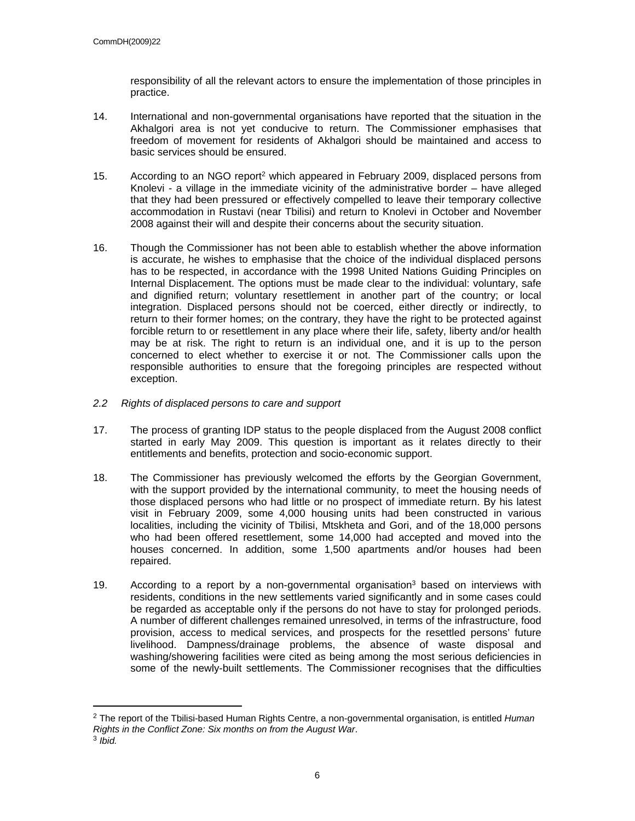responsibility of all the relevant actors to ensure the implementation of those principles in practice.

- 14. International and non-governmental organisations have reported that the situation in the Akhalgori area is not yet conducive to return. The Commissioner emphasises that freedom of movement for residents of Akhalgori should be maintained and access to basic services should be ensured.
- 15. According to an NGO report<sup>2</sup> which appeared in February 2009, displaced persons from Knolevi - a village in the immediate vicinity of the administrative border – have alleged that they had been pressured or effectively compelled to leave their temporary collective accommodation in Rustavi (near Tbilisi) and return to Knolevi in October and November 2008 against their will and despite their concerns about the security situation.
- 16. Though the Commissioner has not been able to establish whether the above information is accurate, he wishes to emphasise that the choice of the individual displaced persons has to be respected, in accordance with the 1998 United Nations Guiding Principles on Internal Displacement. The options must be made clear to the individual: voluntary, safe and dignified return; voluntary resettlement in another part of the country; or local integration. Displaced persons should not be coerced, either directly or indirectly, to return to their former homes; on the contrary, they have the right to be protected against forcible return to or resettlement in any place where their life, safety, liberty and/or health may be at risk. The right to return is an individual one, and it is up to the person concerned to elect whether to exercise it or not. The Commissioner calls upon the responsible authorities to ensure that the foregoing principles are respected without exception.
- *2.2 Rights of displaced persons to care and support*
- 17. The process of granting IDP status to the people displaced from the August 2008 conflict started in early May 2009. This question is important as it relates directly to their entitlements and benefits, protection and socio-economic support.
- 18. The Commissioner has previously welcomed the efforts by the Georgian Government, with the support provided by the international community, to meet the housing needs of those displaced persons who had little or no prospect of immediate return. By his latest visit in February 2009, some 4,000 housing units had been constructed in various localities, including the vicinity of Tbilisi, Mtskheta and Gori, and of the 18,000 persons who had been offered resettlement, some 14,000 had accepted and moved into the houses concerned. In addition, some 1,500 apartments and/or houses had been repaired.
- 19. According to a report by a non-governmental organisation<sup>3</sup> based on interviews with residents, conditions in the new settlements varied significantly and in some cases could be regarded as acceptable only if the persons do not have to stay for prolonged periods. A number of different challenges remained unresolved, in terms of the infrastructure, food provision, access to medical services, and prospects for the resettled persons' future livelihood. Dampness/drainage problems, the absence of waste disposal and washing/showering facilities were cited as being among the most serious deficiencies in some of the newly-built settlements. The Commissioner recognises that the difficulties

<sup>2</sup> The report of the Tbilisi-based Human Rights Centre, a non-governmental organisation, is entitled *Human Rights in the Conflict Zone: Six months on from the August War*.

<sup>3</sup> *Ibid.*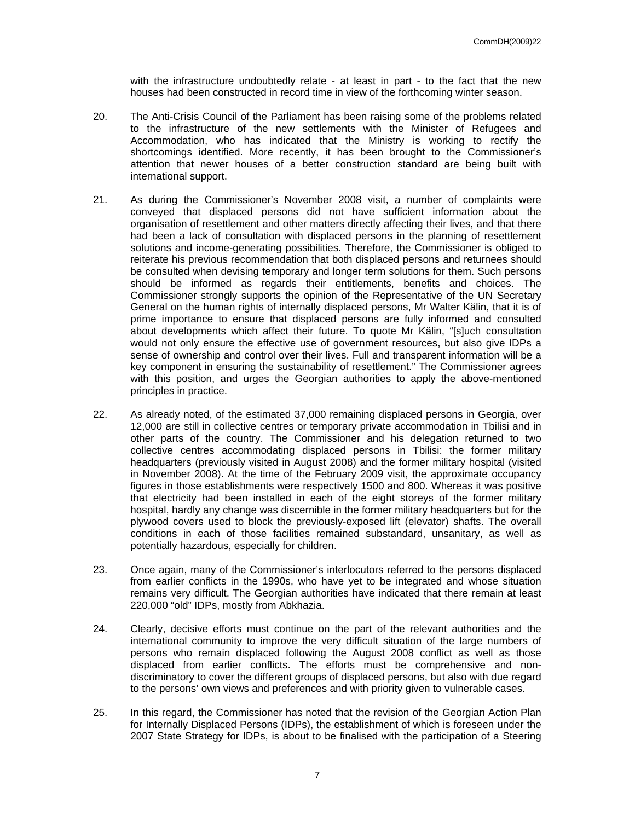with the infrastructure undoubtedly relate - at least in part - to the fact that the new houses had been constructed in record time in view of the forthcoming winter season.

- 20. The Anti-Crisis Council of the Parliament has been raising some of the problems related to the infrastructure of the new settlements with the Minister of Refugees and Accommodation, who has indicated that the Ministry is working to rectify the shortcomings identified. More recently, it has been brought to the Commissioner's attention that newer houses of a better construction standard are being built with international support.
- 21. As during the Commissioner's November 2008 visit, a number of complaints were conveyed that displaced persons did not have sufficient information about the organisation of resettlement and other matters directly affecting their lives, and that there had been a lack of consultation with displaced persons in the planning of resettlement solutions and income-generating possibilities. Therefore, the Commissioner is obliged to reiterate his previous recommendation that both displaced persons and returnees should be consulted when devising temporary and longer term solutions for them. Such persons should be informed as regards their entitlements, benefits and choices. The Commissioner strongly supports the opinion of the Representative of the UN Secretary General on the human rights of internally displaced persons, Mr Walter Kälin, that it is of prime importance to ensure that displaced persons are fully informed and consulted about developments which affect their future. To quote Mr Kälin, "[s]uch consultation would not only ensure the effective use of government resources, but also give IDPs a sense of ownership and control over their lives. Full and transparent information will be a key component in ensuring the sustainability of resettlement." The Commissioner agrees with this position, and urges the Georgian authorities to apply the above-mentioned principles in practice.
- 22. As already noted, of the estimated 37,000 remaining displaced persons in Georgia, over 12,000 are still in collective centres or temporary private accommodation in Tbilisi and in other parts of the country. The Commissioner and his delegation returned to two collective centres accommodating displaced persons in Tbilisi: the former military headquarters (previously visited in August 2008) and the former military hospital (visited in November 2008). At the time of the February 2009 visit, the approximate occupancy figures in those establishments were respectively 1500 and 800. Whereas it was positive that electricity had been installed in each of the eight storeys of the former military hospital, hardly any change was discernible in the former military headquarters but for the plywood covers used to block the previously-exposed lift (elevator) shafts. The overall conditions in each of those facilities remained substandard, unsanitary, as well as potentially hazardous, especially for children.
- 23. Once again, many of the Commissioner's interlocutors referred to the persons displaced from earlier conflicts in the 1990s, who have yet to be integrated and whose situation remains very difficult. The Georgian authorities have indicated that there remain at least 220,000 "old" IDPs, mostly from Abkhazia.
- 24. Clearly, decisive efforts must continue on the part of the relevant authorities and the international community to improve the very difficult situation of the large numbers of persons who remain displaced following the August 2008 conflict as well as those displaced from earlier conflicts. The efforts must be comprehensive and nondiscriminatory to cover the different groups of displaced persons, but also with due regard to the persons' own views and preferences and with priority given to vulnerable cases.
- 25. In this regard, the Commissioner has noted that the revision of the Georgian Action Plan for Internally Displaced Persons (IDPs), the establishment of which is foreseen under the 2007 State Strategy for IDPs, is about to be finalised with the participation of a Steering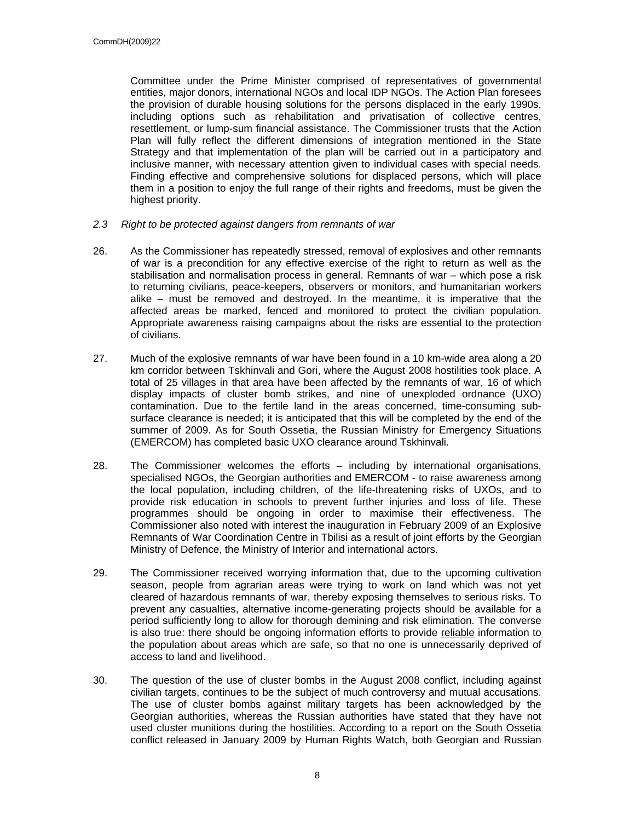Committee under the Prime Minister comprised of representatives of governmental entities, major donors, international NGOs and local IDP NGOs. The Action Plan foresees the provision of durable housing solutions for the persons displaced in the early 1990s, including options such as rehabilitation and privatisation of collective centres, resettlement, or lump-sum financial assistance. The Commissioner trusts that the Action Plan will fully reflect the different dimensions of integration mentioned in the State Strategy and that implementation of the plan will be carried out in a participatory and inclusive manner, with necessary attention given to individual cases with special needs. Finding effective and comprehensive solutions for displaced persons, which will place them in a position to enjoy the full range of their rights and freedoms, must be given the highest priority.

- *2.3 Right to be protected against dangers from remnants of war*
- 26. As the Commissioner has repeatedly stressed, removal of explosives and other remnants of war is a precondition for any effective exercise of the right to return as well as the stabilisation and normalisation process in general. Remnants of war – which pose a risk to returning civilians, peace-keepers, observers or monitors, and humanitarian workers alike – must be removed and destroyed. In the meantime, it is imperative that the affected areas be marked, fenced and monitored to protect the civilian population. Appropriate awareness raising campaigns about the risks are essential to the protection of civilians.
- 27. Much of the explosive remnants of war have been found in a 10 km-wide area along a 20 km corridor between Tskhinvali and Gori, where the August 2008 hostilities took place. A total of 25 villages in that area have been affected by the remnants of war, 16 of which display impacts of cluster bomb strikes, and nine of unexploded ordnance (UXO) contamination. Due to the fertile land in the areas concerned, time-consuming subsurface clearance is needed; it is anticipated that this will be completed by the end of the summer of 2009. As for South Ossetia, the Russian Ministry for Emergency Situations (EMERCOM) has completed basic UXO clearance around Tskhinvali.
- 28. The Commissioner welcomes the efforts including by international organisations, specialised NGOs, the Georgian authorities and EMERCOM - to raise awareness among the local population, including children, of the life-threatening risks of UXOs, and to provide risk education in schools to prevent further injuries and loss of life. These programmes should be ongoing in order to maximise their effectiveness. The Commissioner also noted with interest the inauguration in February 2009 of an Explosive Remnants of War Coordination Centre in Tbilisi as a result of joint efforts by the Georgian Ministry of Defence, the Ministry of Interior and international actors.
- 29. The Commissioner received worrying information that, due to the upcoming cultivation season, people from agrarian areas were trying to work on land which was not yet cleared of hazardous remnants of war, thereby exposing themselves to serious risks. To prevent any casualties, alternative income-generating projects should be available for a period sufficiently long to allow for thorough demining and risk elimination. The converse is also true: there should be ongoing information efforts to provide reliable information to the population about areas which are safe, so that no one is unnecessarily deprived of access to land and livelihood.
- 30. The question of the use of cluster bombs in the August 2008 conflict, including against civilian targets, continues to be the subject of much controversy and mutual accusations. The use of cluster bombs against military targets has been acknowledged by the Georgian authorities, whereas the Russian authorities have stated that they have not used cluster munitions during the hostilities. According to a report on the South Ossetia conflict released in January 2009 by Human Rights Watch, both Georgian and Russian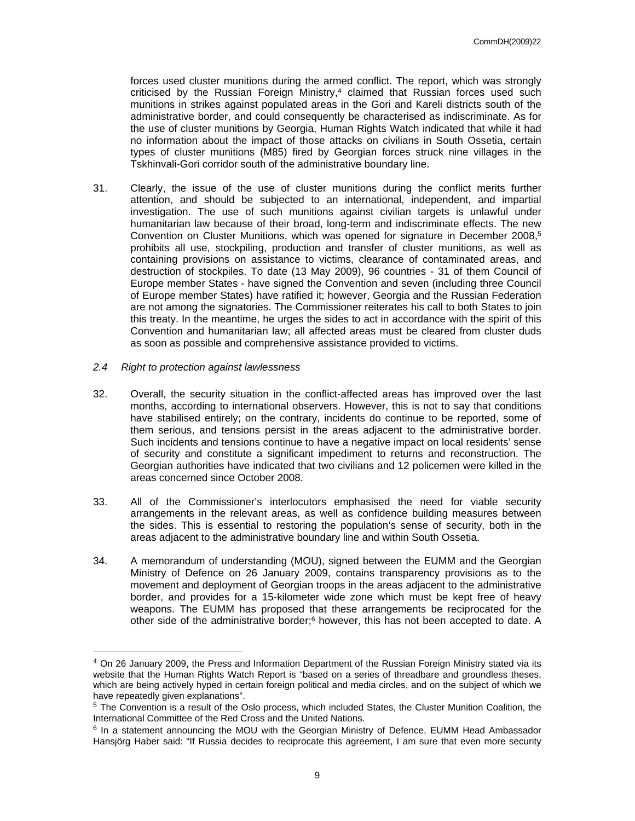forces used cluster munitions during the armed conflict. The report, which was strongly criticised by the Russian Foreign Ministry, $4$  claimed that Russian forces used such munitions in strikes against populated areas in the Gori and Kareli districts south of the administrative border, and could consequently be characterised as indiscriminate. As for the use of cluster munitions by Georgia, Human Rights Watch indicated that while it had no information about the impact of those attacks on civilians in South Ossetia, certain types of cluster munitions (M85) fired by Georgian forces struck nine villages in the Tskhinvali-Gori corridor south of the administrative boundary line.

- 31. Clearly, the issue of the use of cluster munitions during the conflict merits further attention, and should be subjected to an international, independent, and impartial investigation. The use of such munitions against civilian targets is unlawful under humanitarian law because of their broad, long-term and indiscriminate effects. The new Convention on Cluster Munitions, which was opened for signature in December 2008.<sup>5</sup> prohibits all use, stockpiling, production and transfer of cluster munitions, as well as containing provisions on assistance to victims, clearance of contaminated areas, and destruction of stockpiles. To date (13 May 2009), 96 countries - 31 of them Council of Europe member States - have signed the Convention and seven (including three Council of Europe member States) have ratified it; however, Georgia and the Russian Federation are not among the signatories. The Commissioner reiterates his call to both States to join this treaty. In the meantime, he urges the sides to act in accordance with the spirit of this Convention and humanitarian law; all affected areas must be cleared from cluster duds as soon as possible and comprehensive assistance provided to victims.
- *2.4 Right to protection against lawlessness*
- 32. Overall, the security situation in the conflict-affected areas has improved over the last months, according to international observers. However, this is not to say that conditions have stabilised entirely; on the contrary, incidents do continue to be reported, some of them serious, and tensions persist in the areas adjacent to the administrative border. Such incidents and tensions continue to have a negative impact on local residents' sense of security and constitute a significant impediment to returns and reconstruction. The Georgian authorities have indicated that two civilians and 12 policemen were killed in the areas concerned since October 2008.
- 33. All of the Commissioner's interlocutors emphasised the need for viable security arrangements in the relevant areas, as well as confidence building measures between the sides. This is essential to restoring the population's sense of security, both in the areas adjacent to the administrative boundary line and within South Ossetia.
- 34. A memorandum of understanding (MOU), signed between the EUMM and the Georgian Ministry of Defence on 26 January 2009, contains transparency provisions as to the movement and deployment of Georgian troops in the areas adjacent to the administrative border, and provides for a 15-kilometer wide zone which must be kept free of heavy weapons. The EUMM has proposed that these arrangements be reciprocated for the other side of the administrative border;<sup>6</sup> however, this has not been accepted to date. A

<sup>4</sup> On 26 January 2009, the Press and Information Department of the Russian Foreign Ministry stated via its website that the Human Rights Watch Report is "based on a series of threadbare and groundless theses, which are being actively hyped in certain foreign political and media circles, and on the subject of which we have repeatedly given explanations".

<sup>&</sup>lt;sup>5</sup> The Convention is a result of the [Oslo process,](http://www.clusterconvention.org/pages/pages_vi/vib_osloprocess.html) which included States, the [Cluster Munition Coalition](http://www.clusterconvention.org/pages/pages_i/i_cmc_oncm.html), the [International Committee of the Red Cross](http://www.clusterconvention.org/pages/pages_i/i_icrc_oncm.html) and the [United Nations](http://www.clusterconvention.org/pages/pages_i/i_un_oncm.html).

<sup>&</sup>lt;sup>6</sup> In a statement announcing the MOU with the Georgian Ministry of Defence, EUMM Head Ambassador Hansjörg Haber said: "If Russia decides to reciprocate this agreement, I am sure that even more security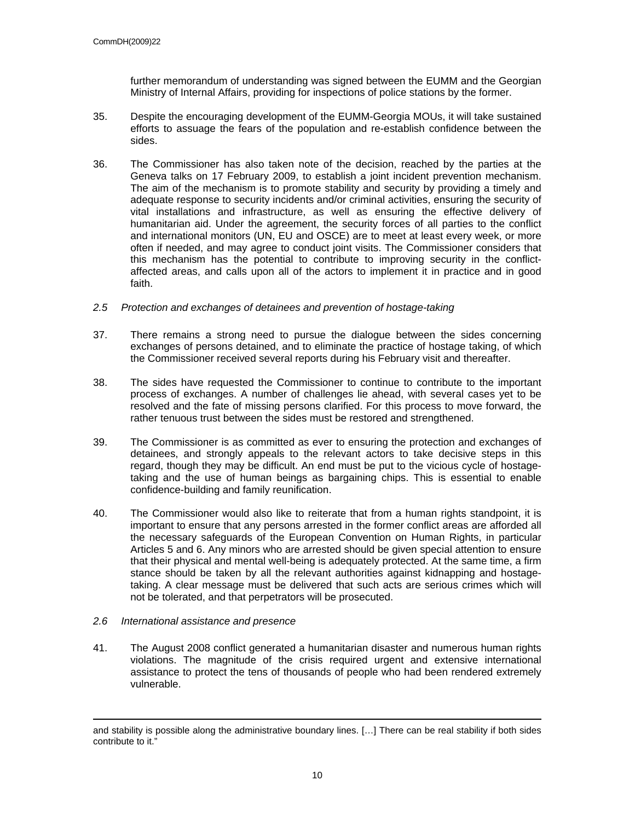further memorandum of understanding was signed between the EUMM and the Georgian Ministry of Internal Affairs, providing for inspections of police stations by the former.

- 35. Despite the encouraging development of the EUMM-Georgia MOUs, it will take sustained efforts to assuage the fears of the population and re-establish confidence between the sides.
- 36. The Commissioner has also taken note of the decision, reached by the parties at the Geneva talks on 17 February 2009, to establish a joint incident prevention mechanism. The aim of the mechanism is to promote stability and security by providing a timely and adequate response to security incidents and/or criminal activities, ensuring the security of vital installations and infrastructure, as well as ensuring the effective delivery of humanitarian aid. Under the agreement, the security forces of all parties to the conflict and international monitors (UN, EU and OSCE) are to meet at least every week, or more often if needed, and may agree to conduct joint visits. The Commissioner considers that this mechanism has the potential to contribute to improving security in the conflictaffected areas, and calls upon all of the actors to implement it in practice and in good faith.
- *2.5 Protection and exchanges of detainees and prevention of hostage-taking*
- 37. There remains a strong need to pursue the dialogue between the sides concerning exchanges of persons detained, and to eliminate the practice of hostage taking, of which the Commissioner received several reports during his February visit and thereafter.
- 38. The sides have requested the Commissioner to continue to contribute to the important process of exchanges. A number of challenges lie ahead, with several cases yet to be resolved and the fate of missing persons clarified. For this process to move forward, the rather tenuous trust between the sides must be restored and strengthened.
- 39. The Commissioner is as committed as ever to ensuring the protection and exchanges of detainees, and strongly appeals to the relevant actors to take decisive steps in this regard, though they may be difficult. An end must be put to the vicious cycle of hostagetaking and the use of human beings as bargaining chips. This is essential to enable confidence-building and family reunification.
- 40. The Commissioner would also like to reiterate that from a human rights standpoint, it is important to ensure that any persons arrested in the former conflict areas are afforded all the necessary safeguards of the European Convention on Human Rights, in particular Articles 5 and 6. Any minors who are arrested should be given special attention to ensure that their physical and mental well-being is adequately protected. At the same time, a firm stance should be taken by all the relevant authorities against kidnapping and hostagetaking. A clear message must be delivered that such acts are serious crimes which will not be tolerated, and that perpetrators will be prosecuted.

## *2.6 International assistance and presence*

41. The August 2008 conflict generated a humanitarian disaster and numerous human rights violations. The magnitude of the crisis required urgent and extensive international assistance to protect the tens of thousands of people who had been rendered extremely vulnerable.

and stability is possible along the administrative boundary lines. […] There can be real stability if both sides contribute to it."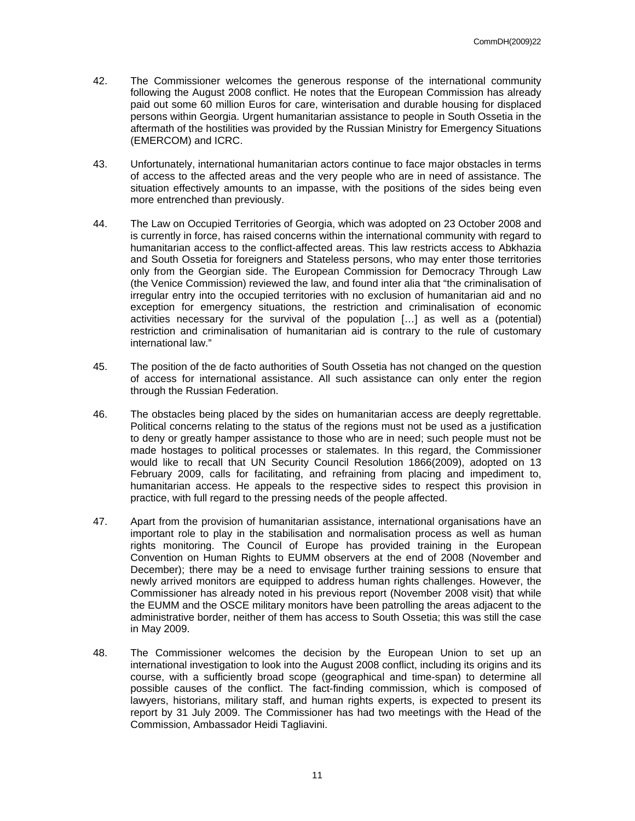- 42. The Commissioner welcomes the generous response of the international community following the August 2008 conflict. He notes that the European Commission has already paid out some 60 million Euros for care, winterisation and durable housing for displaced persons within Georgia. Urgent humanitarian assistance to people in South Ossetia in the aftermath of the hostilities was provided by the Russian Ministry for Emergency Situations (EMERCOM) and ICRC.
- 43. Unfortunately, international humanitarian actors continue to face major obstacles in terms of access to the affected areas and the very people who are in need of assistance. The situation effectively amounts to an impasse, with the positions of the sides being even more entrenched than previously.
- 44. The Law on Occupied Territories of Georgia, which was adopted on 23 October 2008 and is currently in force, has raised concerns within the international community with regard to humanitarian access to the conflict-affected areas. This law restricts access to Abkhazia and South Ossetia for foreigners and Stateless persons, who may enter those territories only from the Georgian side. The European Commission for Democracy Through Law (the Venice Commission) reviewed the law, and found inter alia that "the criminalisation of irregular entry into the occupied territories with no exclusion of humanitarian aid and no exception for emergency situations, the restriction and criminalisation of economic activities necessary for the survival of the population […] as well as a (potential) restriction and criminalisation of humanitarian aid is contrary to the rule of customary international law."
- 45. The position of the de facto authorities of South Ossetia has not changed on the question of access for international assistance. All such assistance can only enter the region through the Russian Federation.
- 46. The obstacles being placed by the sides on humanitarian access are deeply regrettable. Political concerns relating to the status of the regions must not be used as a justification to deny or greatly hamper assistance to those who are in need; such people must not be made hostages to political processes or stalemates. In this regard, the Commissioner would like to recall that UN Security Council Resolution 1866(2009), adopted on 13 February 2009, calls for facilitating, and refraining from placing and impediment to, humanitarian access. He appeals to the respective sides to respect this provision in practice, with full regard to the pressing needs of the people affected.
- 47. Apart from the provision of humanitarian assistance, international organisations have an important role to play in the stabilisation and normalisation process as well as human rights monitoring. The Council of Europe has provided training in the European Convention on Human Rights to EUMM observers at the end of 2008 (November and December); there may be a need to envisage further training sessions to ensure that newly arrived monitors are equipped to address human rights challenges. However, the Commissioner has already noted in his previous report (November 2008 visit) that while the EUMM and the OSCE military monitors have been patrolling the areas adjacent to the administrative border, neither of them has access to South Ossetia; this was still the case in May 2009.
- 48. The Commissioner welcomes the decision by the European Union to set up an international investigation to look into the August 2008 conflict, including its origins and its course, with a sufficiently broad scope (geographical and time-span) to determine all possible causes of the conflict. The fact-finding commission, which is composed of lawyers, historians, military staff, and human rights experts, is expected to present its report by 31 July 2009. The Commissioner has had two meetings with the Head of the Commission, Ambassador Heidi Tagliavini.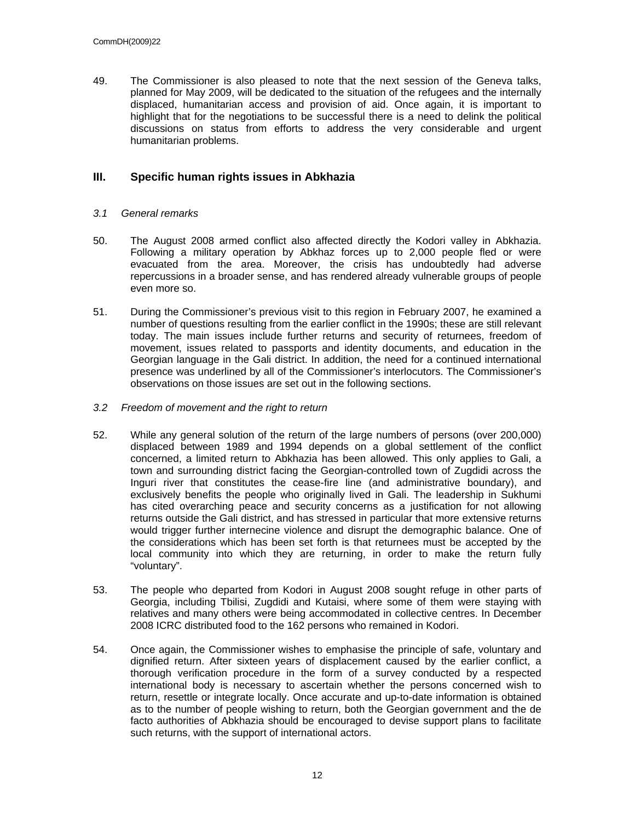49. The Commissioner is also pleased to note that the next session of the Geneva talks, planned for May 2009, will be dedicated to the situation of the refugees and the internally displaced, humanitarian access and provision of aid. Once again, it is important to highlight that for the negotiations to be successful there is a need to delink the political discussions on status from efforts to address the very considerable and urgent humanitarian problems.

## **III. Specific human rights issues in Abkhazia**

## *3.1 General remarks*

- 50. The August 2008 armed conflict also affected directly the Kodori valley in Abkhazia. Following a military operation by Abkhaz forces up to 2,000 people fled or were evacuated from the area. Moreover, the crisis has undoubtedly had adverse repercussions in a broader sense, and has rendered already vulnerable groups of people even more so.
- 51. During the Commissioner's previous visit to this region in February 2007, he examined a number of questions resulting from the earlier conflict in the 1990s; these are still relevant today. The main issues include further returns and security of returnees, freedom of movement, issues related to passports and identity documents, and education in the Georgian language in the Gali district. In addition, the need for a continued international presence was underlined by all of the Commissioner's interlocutors. The Commissioner's observations on those issues are set out in the following sections.
- *3.2 Freedom of movement and the right to return*
- 52. While any general solution of the return of the large numbers of persons (over 200,000) displaced between 1989 and 1994 depends on a global settlement of the conflict concerned, a limited return to Abkhazia has been allowed. This only applies to Gali, a town and surrounding district facing the Georgian-controlled town of Zugdidi across the Inguri river that constitutes the cease-fire line (and administrative boundary), and exclusively benefits the people who originally lived in Gali. The leadership in Sukhumi has cited overarching peace and security concerns as a justification for not allowing returns outside the Gali district, and has stressed in particular that more extensive returns would trigger further internecine violence and disrupt the demographic balance. One of the considerations which has been set forth is that returnees must be accepted by the local community into which they are returning, in order to make the return fully "voluntary".
- 53. The people who departed from Kodori in August 2008 sought refuge in other parts of Georgia, including Tbilisi, Zugdidi and Kutaisi, where some of them were staying with relatives and many others were being accommodated in collective centres. In December 2008 ICRC distributed food to the 162 persons who remained in Kodori.
- 54. Once again, the Commissioner wishes to emphasise the principle of safe, voluntary and dignified return. After sixteen years of displacement caused by the earlier conflict, a thorough verification procedure in the form of a survey conducted by a respected international body is necessary to ascertain whether the persons concerned wish to return, resettle or integrate locally. Once accurate and up-to-date information is obtained as to the number of people wishing to return, both the Georgian government and the de facto authorities of Abkhazia should be encouraged to devise support plans to facilitate such returns, with the support of international actors.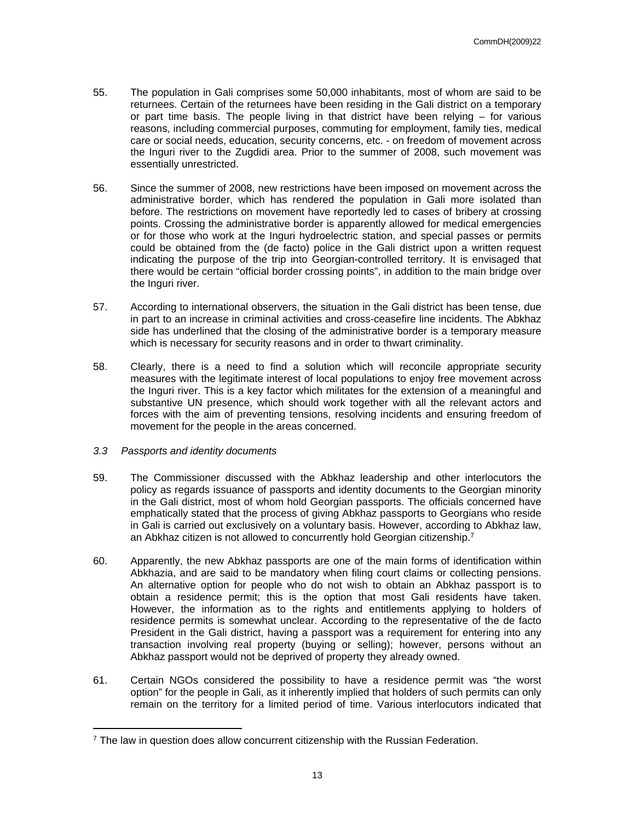- 55. The population in Gali comprises some 50,000 inhabitants, most of whom are said to be returnees. Certain of the returnees have been residing in the Gali district on a temporary or part time basis. The people living in that district have been relying – for various reasons, including commercial purposes, commuting for employment, family ties, medical care or social needs, education, security concerns, etc. - on freedom of movement across the Inguri river to the Zugdidi area. Prior to the summer of 2008, such movement was essentially unrestricted.
- 56. Since the summer of 2008, new restrictions have been imposed on movement across the administrative border, which has rendered the population in Gali more isolated than before. The restrictions on movement have reportedly led to cases of bribery at crossing points. Crossing the administrative border is apparently allowed for medical emergencies or for those who work at the Inguri hydroelectric station, and special passes or permits could be obtained from the (de facto) police in the Gali district upon a written request indicating the purpose of the trip into Georgian-controlled territory. It is envisaged that there would be certain "official border crossing points", in addition to the main bridge over the Inguri river.
- 57. According to international observers, the situation in the Gali district has been tense, due in part to an increase in criminal activities and cross-ceasefire line incidents. The Abkhaz side has underlined that the closing of the administrative border is a temporary measure which is necessary for security reasons and in order to thwart criminality.
- 58. Clearly, there is a need to find a solution which will reconcile appropriate security measures with the legitimate interest of local populations to enjoy free movement across the Inguri river. This is a key factor which militates for the extension of a meaningful and substantive UN presence, which should work together with all the relevant actors and forces with the aim of preventing tensions, resolving incidents and ensuring freedom of movement for the people in the areas concerned.
- *3.3 Passports and identity documents*
- 59. The Commissioner discussed with the Abkhaz leadership and other interlocutors the policy as regards issuance of passports and identity documents to the Georgian minority in the Gali district, most of whom hold Georgian passports. The officials concerned have emphatically stated that the process of giving Abkhaz passports to Georgians who reside in Gali is carried out exclusively on a voluntary basis. However, according to Abkhaz law, an Abkhaz citizen is not allowed to concurrently hold Georgian citizenship.<sup>7</sup>
- 60. Apparently, the new Abkhaz passports are one of the main forms of identification within Abkhazia, and are said to be mandatory when filing court claims or collecting pensions. An alternative option for people who do not wish to obtain an Abkhaz passport is to obtain a residence permit; this is the option that most Gali residents have taken. However, the information as to the rights and entitlements applying to holders of residence permits is somewhat unclear. According to the representative of the de facto President in the Gali district, having a passport was a requirement for entering into any transaction involving real property (buying or selling); however, persons without an Abkhaz passport would not be deprived of property they already owned.
- 61. Certain NGOs considered the possibility to have a residence permit was "the worst option" for the people in Gali, as it inherently implied that holders of such permits can only remain on the territory for a limited period of time. Various interlocutors indicated that

<sup>7</sup> The law in question does allow concurrent citizenship with the Russian Federation.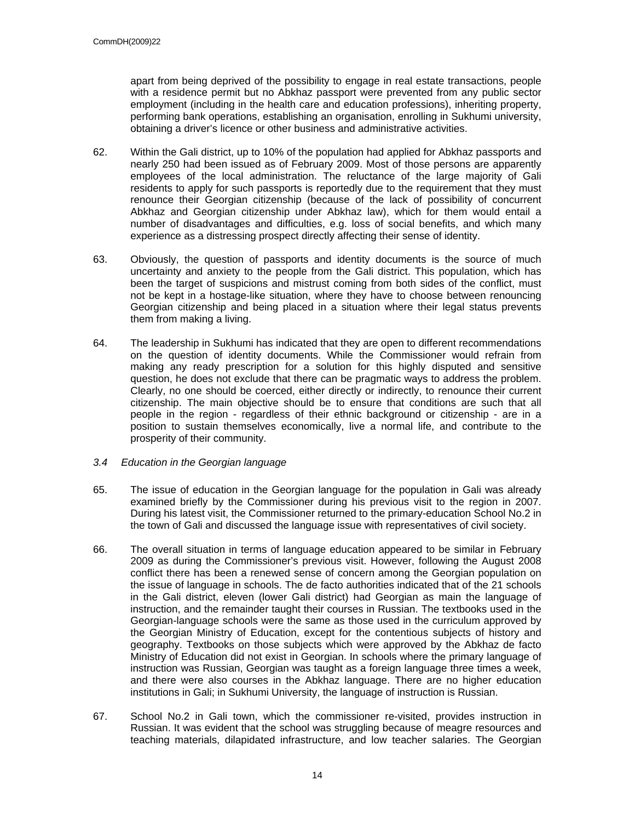apart from being deprived of the possibility to engage in real estate transactions, people with a residence permit but no Abkhaz passport were prevented from any public sector employment (including in the health care and education professions), inheriting property, performing bank operations, establishing an organisation, enrolling in Sukhumi university, obtaining a driver's licence or other business and administrative activities.

- 62. Within the Gali district, up to 10% of the population had applied for Abkhaz passports and nearly 250 had been issued as of February 2009. Most of those persons are apparently employees of the local administration. The reluctance of the large majority of Gali residents to apply for such passports is reportedly due to the requirement that they must renounce their Georgian citizenship (because of the lack of possibility of concurrent Abkhaz and Georgian citizenship under Abkhaz law), which for them would entail a number of disadvantages and difficulties, e.g. loss of social benefits, and which many experience as a distressing prospect directly affecting their sense of identity.
- 63. Obviously, the question of passports and identity documents is the source of much uncertainty and anxiety to the people from the Gali district. This population, which has been the target of suspicions and mistrust coming from both sides of the conflict, must not be kept in a hostage-like situation, where they have to choose between renouncing Georgian citizenship and being placed in a situation where their legal status prevents them from making a living.
- 64. The leadership in Sukhumi has indicated that they are open to different recommendations on the question of identity documents. While the Commissioner would refrain from making any ready prescription for a solution for this highly disputed and sensitive question, he does not exclude that there can be pragmatic ways to address the problem. Clearly, no one should be coerced, either directly or indirectly, to renounce their current citizenship. The main objective should be to ensure that conditions are such that all people in the region - regardless of their ethnic background or citizenship - are in a position to sustain themselves economically, live a normal life, and contribute to the prosperity of their community.
- *3.4 Education in the Georgian language*
- 65. The issue of education in the Georgian language for the population in Gali was already examined briefly by the Commissioner during his previous visit to the region in 2007. During his latest visit, the Commissioner returned to the primary-education School No.2 in the town of Gali and discussed the language issue with representatives of civil society.
- 66. The overall situation in terms of language education appeared to be similar in February 2009 as during the Commissioner's previous visit. However, following the August 2008 conflict there has been a renewed sense of concern among the Georgian population on the issue of language in schools. The de facto authorities indicated that of the 21 schools in the Gali district, eleven (lower Gali district) had Georgian as main the language of instruction, and the remainder taught their courses in Russian. The textbooks used in the Georgian-language schools were the same as those used in the curriculum approved by the Georgian Ministry of Education, except for the contentious subjects of history and geography. Textbooks on those subjects which were approved by the Abkhaz de facto Ministry of Education did not exist in Georgian. In schools where the primary language of instruction was Russian, Georgian was taught as a foreign language three times a week, and there were also courses in the Abkhaz language. There are no higher education institutions in Gali; in Sukhumi University, the language of instruction is Russian.
- 67. School No.2 in Gali town, which the commissioner re-visited, provides instruction in Russian. It was evident that the school was struggling because of meagre resources and teaching materials, dilapidated infrastructure, and low teacher salaries. The Georgian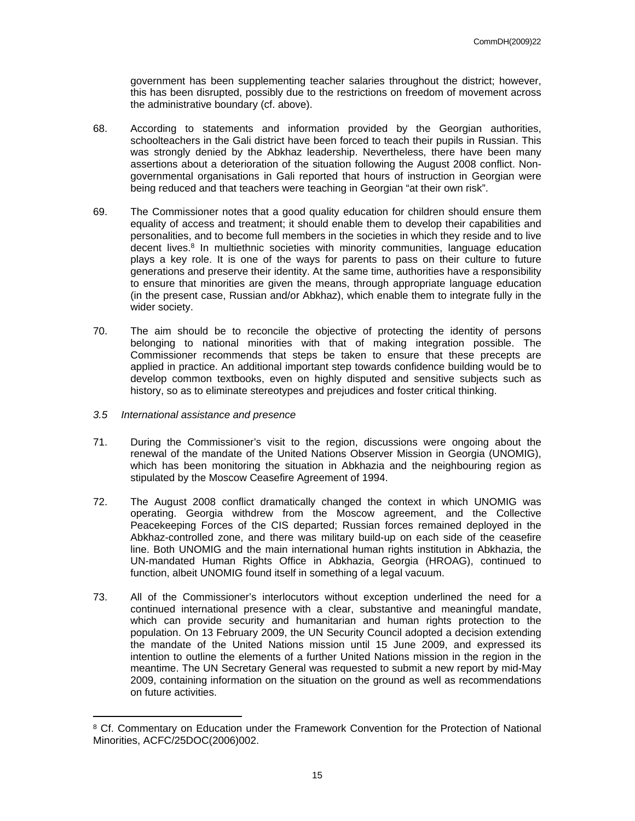government has been supplementing teacher salaries throughout the district; however, this has been disrupted, possibly due to the restrictions on freedom of movement across the administrative boundary (cf. above).

- 68. According to statements and information provided by the Georgian authorities, schoolteachers in the Gali district have been forced to teach their pupils in Russian. This was strongly denied by the Abkhaz leadership. Nevertheless, there have been many assertions about a deterioration of the situation following the August 2008 conflict. Nongovernmental organisations in Gali reported that hours of instruction in Georgian were being reduced and that teachers were teaching in Georgian "at their own risk".
- 69. The Commissioner notes that a good quality education for children should ensure them equality of access and treatment; it should enable them to develop their capabilities and personalities, and to become full members in the societies in which they reside and to live decent lives.<sup>8</sup> In multiethnic societies with minority communities, language education plays a key role. It is one of the ways for parents to pass on their culture to future generations and preserve their identity. At the same time, authorities have a responsibility to ensure that minorities are given the means, through appropriate language education (in the present case, Russian and/or Abkhaz), which enable them to integrate fully in the wider society.
- 70. The aim should be to reconcile the objective of protecting the identity of persons belonging to national minorities with that of making integration possible. The Commissioner recommends that steps be taken to ensure that these precepts are applied in practice. An additional important step towards confidence building would be to develop common textbooks, even on highly disputed and sensitive subjects such as history, so as to eliminate stereotypes and prejudices and foster critical thinking.
- *3.5 International assistance and presence*
- 71. During the Commissioner's visit to the region, discussions were ongoing about the renewal of the mandate of the United Nations Observer Mission in Georgia (UNOMIG), which has been monitoring the situation in Abkhazia and the neighbouring region as stipulated by the Moscow Ceasefire Agreement of 1994.
- 72. The August 2008 conflict dramatically changed the context in which UNOMIG was operating. Georgia withdrew from the Moscow agreement, and the Collective Peacekeeping Forces of the CIS departed; Russian forces remained deployed in the Abkhaz-controlled zone, and there was military build-up on each side of the ceasefire line. Both UNOMIG and the main international human rights institution in Abkhazia, the UN-mandated Human Rights Office in Abkhazia, Georgia (HROAG), continued to function, albeit UNOMIG found itself in something of a legal vacuum.
- 73. All of the Commissioner's interlocutors without exception underlined the need for a continued international presence with a clear, substantive and meaningful mandate, which can provide security and humanitarian and human rights protection to the population. On 13 February 2009, the UN Security Council adopted a decision extending the mandate of the United Nations mission until 15 June 2009, and expressed its intention to outline the elements of a further United Nations mission in the region in the meantime. The UN Secretary General was requested to submit a new report by mid-May 2009, containing information on the situation on the ground as well as recommendations on future activities.

<sup>&</sup>lt;sup>8</sup> Cf. Commentary on Education under the Framework Convention for the Protection of National Minorities, ACFC/25DOC(2006)002.